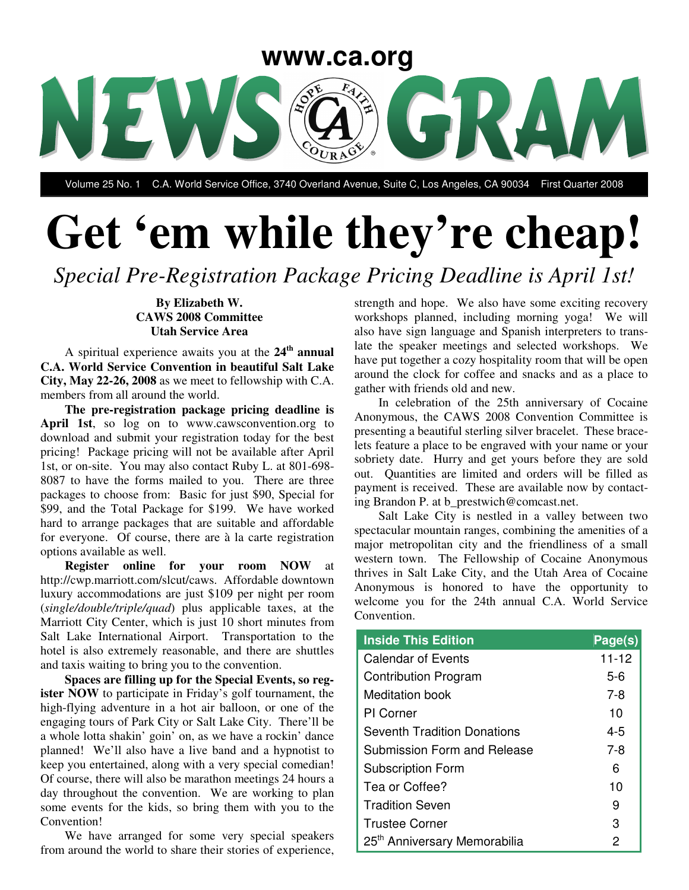

Volume 25 No. 1 C.A. World Service Office, 3740 Overland Avenue, Suite C, Los Angeles, CA 90034 First Quarter 2008

# **Get 'em while they're cheap!**

*Special Pre-Registration Package Pricing Deadline is April 1st!*

#### **By Elizabeth W. CAWS 2008 Committee Utah Service Area**

A spiritual experience awaits you at the **24 th annual C.A. World Service Convention in beautiful Salt Lake City, May 22-26, 2008** as we meet to fellowship with C.A. members from all around the world.

**The pre-registration package pricing deadline is April 1st**, so log on to www.cawsconvention.org to download and submit your registration today for the best pricing! Package pricing will not be available after April 1st, or on-site. You may also contact Ruby L. at 801-698- 8087 to have the forms mailed to you. There are three packages to choose from: Basic for just \$90, Special for \$99, and the Total Package for \$199. We have worked hard to arrange packages that are suitable and affordable for everyone. Of course, there are à la carte registration options available as well.

**Register online for your room NOW** at http://cwp.marriott.com/slcut/caws. Affordable downtown luxury accommodations are just \$109 per night per room (*single/double/triple/quad*) plus applicable taxes, at the Marriott City Center, which is just 10 short minutes from Salt Lake International Airport. Transportation to the hotel is also extremely reasonable, and there are shuttles and taxis waiting to bring you to the convention.

**Spaces are filling up for the Special Events, so register NOW** to participate in Friday's golf tournament, the high-flying adventure in a hot air balloon, or one of the engaging tours of Park City or Salt Lake City. There'll be a whole lotta shakin' goin' on, as we have a rockin' dance planned! We'll also have a live band and a hypnotist to keep you entertained, along with a very special comedian! Of course, there will also be marathon meetings 24 hours a day throughout the convention. We are working to plan some events for the kids, so bring them with you to the Convention!

We have arranged for some very special speakers from around the world to share their stories of experience,

strength and hope. We also have some exciting recovery workshops planned, including morning yoga! We will also have sign language and Spanish interpreters to translate the speaker meetings and selected workshops. We have put together a cozy hospitality room that will be open around the clock for coffee and snacks and as a place to gather with friends old and new.

In celebration of the 25th anniversary of Cocaine Anonymous, the CAWS 2008 Convention Committee is presenting a beautiful sterling silver bracelet. These bracelets feature a place to be engraved with your name or your sobriety date. Hurry and get yours before they are sold out. Quantities are limited and orders will be filled as payment is received. These are available now by contacting Brandon P. at b\_prestwich@comcast.net.

Salt Lake City is nestled in a valley between two spectacular mountain ranges, combining the amenities of a major metropolitan city and the friendliness of a small western town. The Fellowship of Cocaine Anonymous thrives in Salt Lake City, and the Utah Area of Cocaine Anonymous is honored to have the opportunity to welcome you for the 24th annual C.A. World Service Convention.

| <b>Inside This Edition</b>               | Page(s)   |
|------------------------------------------|-----------|
| <b>Calendar of Events</b>                | $11 - 12$ |
| <b>Contribution Program</b>              | 5-6       |
| Meditation book                          | 7-8       |
| <b>PI</b> Corner                         | 10        |
| <b>Seventh Tradition Donations</b>       | 4-5       |
| Submission Form and Release              | 7-8       |
| <b>Subscription Form</b>                 | 6         |
| Tea or Coffee?                           | 10        |
| <b>Tradition Seven</b>                   | 9         |
| <b>Trustee Corner</b>                    | 3         |
| 25 <sup>th</sup> Anniversary Memorabilia | 2         |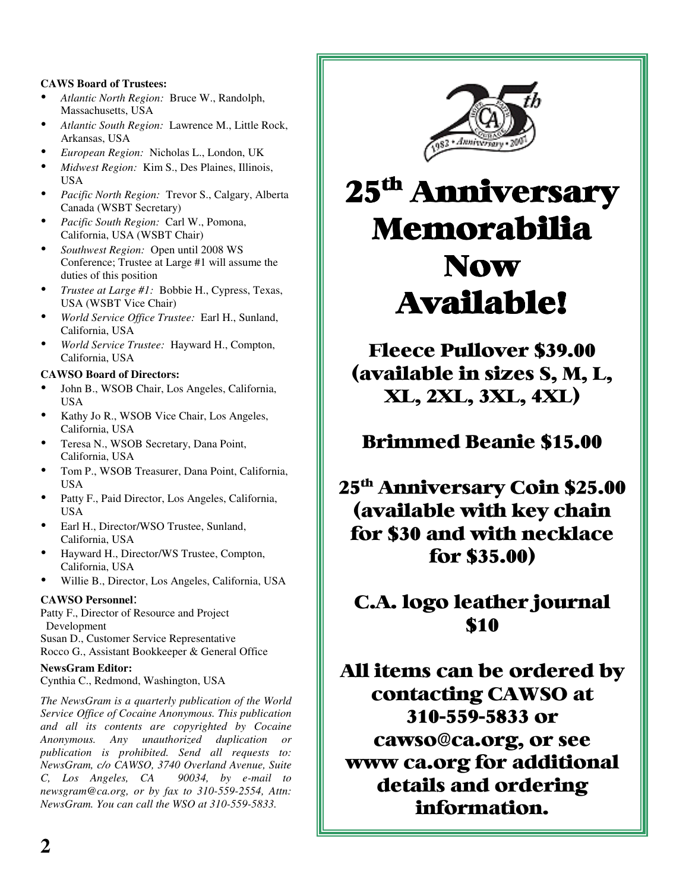#### **CAWS Board of Trustees:**

- *Atlantic North Region:* Bruce W., Randolph, Massachusetts, USA
- *Atlantic South Region:* Lawrence M., Little Rock, Arkansas, USA
- *European Region:* Nicholas L., London, UK
- *Midwest Region:* Kim S., Des Plaines, Illinois, USA
- *Pacific North Region:* Trevor S., Calgary, Alberta Canada (WSBT Secretary)
- *Pacific South Region:* Carl W., Pomona, California, USA (WSBT Chair)
- *Southwest Region:* Open until <sup>2008</sup> WS Conference; Trustee at Large #1 will assume the duties of this position
- *Trustee at Large #1:* Bobbie H., Cypress, Texas, USA (WSBT Vice Chair)
- *World Service Office Trustee:* Earl H., Sunland, California, USA
- *World Service Trustee:* Hayward H., Compton, California, USA

#### **CAWSO Board of Directors:**

- John B., WSOB Chair, Los Angeles, California, USA
- Kathy Jo R., WSOB Vice Chair, Los Angeles, California, USA
- Teresa N., WSOB Secretary, Dana Point, California, USA
- Tom P., WSOB Treasurer, Dana Point, California, USA
- Patty F., Paid Director, Los Angeles, California, USA
- Earl H., Director/WSO Trustee, Sunland, California, USA
- Hayward H., Director/WS Trustee, Compton, California, USA
- Willie B., Director, Los Angeles, California, USA

#### **CAWSO Personnel**:

Patty F., Director of Resource and Project Development

Susan D., Customer Service Representative Rocco G., Assistant Bookkeeper & General Office

#### **NewsGram Editor:**

Cynthia C., Redmond, Washington, USA

*The NewsGram is a quarterly publication of the World Service Office of Cocaine Anonymous. This publication and all its contents are copyrighted by Cocaine Anonymous. Any unauthorized duplication or publication is prohibited. Send all requests to: NewsGram, c/o CAWSO, 3740 Overland Avenue, Suite C, Los Angeles, CA 90034, by e-mail to newsgram@ca.org, or by fax to 310-559-2554, Attn: NewsGram. You can call the WSO at 310-559-5833.*



## 25<sup>th</sup> Anniversary Memorabilia **Now Available!**

**Fleece Pullover \$39.00** (available in sizes S, M, L, **XL, 2XL, 3XL, 4XL)** 

Brimmed Beanie \$15.00

25<sup>th</sup> Anniversary Coin \$25.00 (available with key chain for \$30 and with necklace for \$35.00)

C.A. logo leather journal \$10

All items can be ordered by contacting CAWSO at 310-559-5833 or cawso@ca.org, or see www ca.org for additional details and ordering information.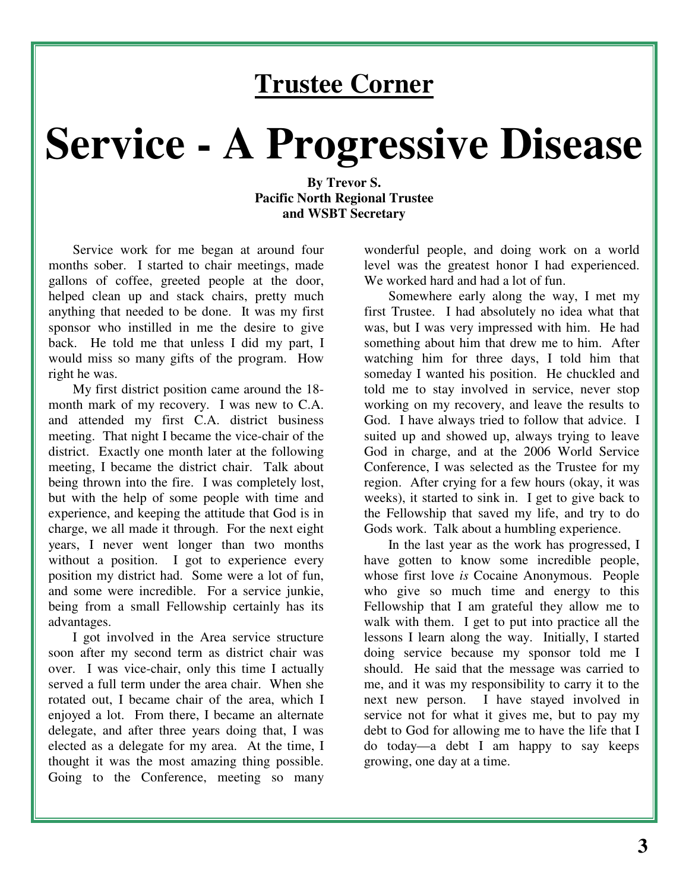### **Trustee Corner**

# **Service - A Progressive Disease**

#### **By Trevor S. Pacific North Regional Trustee and WSBT Secretary**

Service work for me began at around four months sober. I started to chair meetings, made gallons of coffee, greeted people at the door, helped clean up and stack chairs, pretty much anything that needed to be done. It was my first sponsor who instilled in me the desire to give back. He told me that unless I did my part, I would miss so many gifts of the program. How right he was.

My first district position came around the 18 month mark of my recovery. I was new to C.A. and attended my first C.A. district business meeting. That night I became the vice-chair of the district. Exactly one month later at the following meeting, I became the district chair. Talk about being thrown into the fire. I was completely lost, but with the help of some people with time and experience, and keeping the attitude that God is in charge, we all made it through. For the next eight years, I never went longer than two months without a position. I got to experience every position my district had. Some were a lot of fun, and some were incredible. For a service junkie, being from a small Fellowship certainly has its advantages.

I got involved in the Area service structure soon after my second term as district chair was over. I was vice-chair, only this time I actually served a full term under the area chair. When she rotated out, I became chair of the area, which I enjoyed a lot. From there, I became an alternate delegate, and after three years doing that, I was elected as a delegate for my area. At the time, I thought it was the most amazing thing possible. Going to the Conference, meeting so many

wonderful people, and doing work on a world level was the greatest honor I had experienced. We worked hard and had a lot of fun.

Somewhere early along the way, I met my first Trustee. I had absolutely no idea what that was, but I was very impressed with him. He had something about him that drew me to him. After watching him for three days, I told him that someday I wanted his position. He chuckled and told me to stay involved in service, never stop working on my recovery, and leave the results to God. I have always tried to follow that advice. I suited up and showed up, always trying to leave God in charge, and at the 2006 World Service Conference, I was selected as the Trustee for my region. After crying for a few hours (okay, it was weeks), it started to sink in. I get to give back to the Fellowship that saved my life, and try to do Gods work. Talk about a humbling experience.

In the last year as the work has progressed, I have gotten to know some incredible people, whose first love *is* Cocaine Anonymous. People who give so much time and energy to this Fellowship that I am grateful they allow me to walk with them. I get to put into practice all the lessons I learn along the way. Initially, I started doing service because my sponsor told me I should. He said that the message was carried to me, and it was my responsibility to carry it to the next new person. I have stayed involved in service not for what it gives me, but to pay my debt to God for allowing me to have the life that I do today—a debt I am happy to say keeps growing, one day at a time.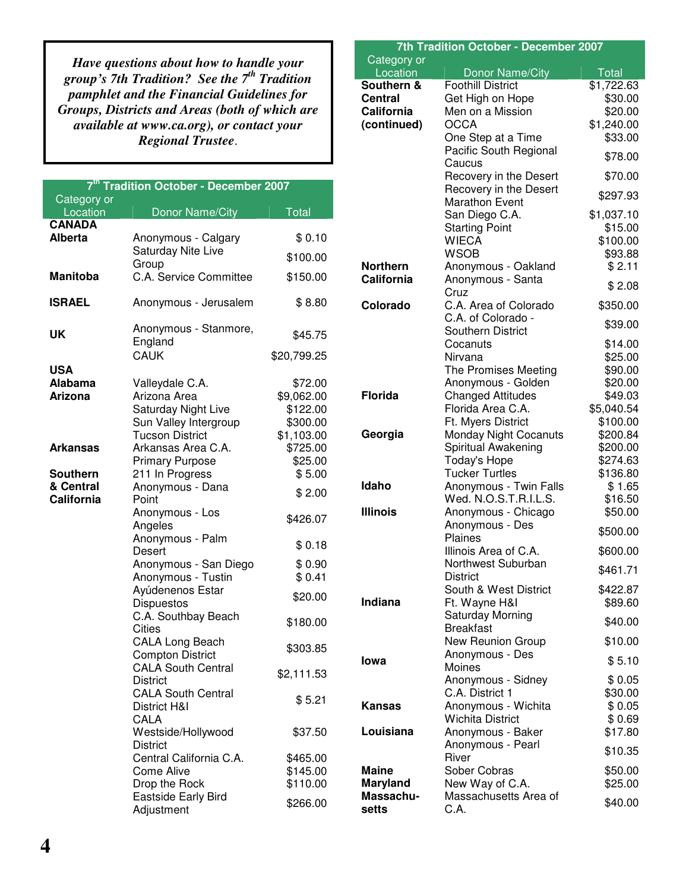*Have questions about how to handle your group's 7th Tradition? See the 7 th Tradition pamphlet and the Financial Guidelines for Groups, Districts and Areas (both of which are available at www.ca.org), or contact your Regional Trustee*.

| 7 <sup>th</sup> Tradition October - December 2007 |                                                   |                      |
|---------------------------------------------------|---------------------------------------------------|----------------------|
| Category or                                       |                                                   |                      |
| Location<br><b>CANADA</b>                         | Donor Name/City                                   | <b>Total</b>         |
| <b>Alberta</b>                                    | Anonymous - Calgary                               | \$0.10               |
|                                                   | <b>Saturday Nite Live</b>                         |                      |
|                                                   | Group                                             | \$100.00             |
| <b>Manitoba</b>                                   | C.A. Service Committee                            | \$150.00             |
| <b>ISRAEL</b>                                     | Anonymous - Jerusalem                             | \$8.80               |
| UK                                                | Anonymous - Stanmore,<br>England                  | \$45.75              |
|                                                   | <b>CAUK</b>                                       | \$20,799.25          |
| <b>USA</b>                                        |                                                   |                      |
| <b>Alabama</b>                                    | Valleydale C.A.                                   | \$72.00              |
| <b>Arizona</b>                                    | Arizona Area                                      | \$9,062.00           |
|                                                   | Saturday Night Live                               | \$122.00<br>\$300.00 |
|                                                   | Sun Valley Intergroup<br><b>Tucson District</b>   | \$1,103.00           |
| <b>Arkansas</b>                                   | Arkansas Area C.A.                                | \$725.00             |
|                                                   | <b>Primary Purpose</b>                            | \$25.00              |
| <b>Southern</b>                                   | 211 In Progress                                   | \$5.00               |
| & Central                                         | Anonymous - Dana                                  |                      |
| California                                        | Point                                             | \$2.00               |
|                                                   | Anonymous - Los<br>Angeles                        | \$426.07             |
|                                                   | Anonymous - Palm<br>Desert                        | \$0.18               |
|                                                   | Anonymous - San Diego                             | \$0.90               |
|                                                   | Anonymous - Tustin                                | \$0.41               |
|                                                   | Ayúdenenos Estar                                  | \$20.00              |
|                                                   | <b>Dispuestos</b><br>C.A. Southbay Beach          |                      |
|                                                   | Cities                                            | \$180.00             |
|                                                   | <b>CALA Long Beach</b><br><b>Compton District</b> | \$303.85             |
|                                                   | <b>CALA South Central</b><br>District             | \$2,111.53           |
|                                                   | <b>CALA South Central</b><br>District H&I         | \$5.21               |
|                                                   | CALA<br>Westside/Hollywood<br><b>District</b>     | \$37.50              |
|                                                   | Central California C.A.                           | \$465.00             |
|                                                   | <b>Come Alive</b>                                 | \$145.00             |
|                                                   | Drop the Rock                                     | \$110.00             |
|                                                   | Eastside Early Bird<br>Adjustment                 | \$266.00             |

| <b>7th Tradition October - December 2007</b> |                                                |                        |
|----------------------------------------------|------------------------------------------------|------------------------|
| Category or                                  |                                                |                        |
| Location                                     | Donor Name/City                                | Total                  |
| Southern &                                   | <b>Foothill District</b>                       | $\overline{$}1,722.63$ |
| <b>Central</b><br><b>California</b>          | Get High on Hope<br>Men on a Mission           | \$30.00<br>\$20.00     |
| (continued)                                  | <b>OCCA</b>                                    | \$1,240.00             |
|                                              | One Step at a Time                             | \$33.00                |
|                                              | Pacific South Regional                         |                        |
|                                              | Caucus                                         | \$78.00                |
|                                              | Recovery in the Desert                         | \$70.00                |
|                                              | Recovery in the Desert                         | \$297.93               |
|                                              | <b>Marathon Event</b>                          |                        |
|                                              | San Diego C.A.                                 | \$1,037.10             |
|                                              | <b>Starting Point</b>                          | \$15.00                |
|                                              | <b>WIECA</b>                                   | \$100.00               |
| <b>Northern</b>                              | <b>WSOB</b><br>Anonymous - Oakland             | \$93.88<br>\$2.11      |
| California                                   | Anonymous - Santa                              |                        |
|                                              | Cruz                                           | \$2.08                 |
| Colorado                                     | C.A. Area of Colorado                          | \$350.00               |
|                                              | C.A. of Colorado -                             | \$39.00                |
|                                              | <b>Southern District</b>                       |                        |
|                                              | Cocanuts                                       | \$14.00                |
|                                              | Nirvana                                        | \$25.00                |
|                                              | The Promises Meeting                           | \$90.00                |
| <b>Florida</b>                               | Anonymous - Golden<br><b>Changed Attitudes</b> | \$20.00<br>\$49.03     |
|                                              | Florida Area C.A.                              | \$5,040.54             |
|                                              | Ft. Myers District                             | \$100.00               |
| Georgia                                      | <b>Monday Night Cocanuts</b>                   | \$200.84               |
|                                              | Spiritual Awakening                            | \$200.00               |
|                                              | <b>Today's Hope</b>                            | \$274.63               |
|                                              | <b>Tucker Turtles</b>                          | \$136.80               |
| Idaho                                        | Anonymous - Twin Falls                         | \$1.65                 |
|                                              | Wed. N.O.S.T.R.I.L.S.                          | \$16.50                |
| <b>Illinois</b>                              | Anonymous - Chicago<br>Anonymous - Des         | \$50.00                |
|                                              | Plaines                                        | \$500.00               |
|                                              | Illinois Area of C.A.                          | \$600.00               |
|                                              | Northwest Suburban                             |                        |
|                                              | <b>District</b>                                | \$461.71               |
|                                              | South & West District                          | \$422.87               |
| <b>Indiana</b>                               | Ft. Wayne H&I                                  | \$89.60                |
|                                              | Saturday Morning                               | \$40.00                |
|                                              | <b>Breakfast</b><br>New Reunion Group          | \$10.00                |
|                                              | Anonymous - Des                                |                        |
| Iowa                                         | Moines                                         | \$5.10                 |
|                                              | Anonymous - Sidney                             | \$0.05                 |
|                                              | C.A. District 1                                | \$30.00                |
| Kansas                                       | Anonymous - Wichita                            | \$0.05                 |
|                                              | <b>Wichita District</b>                        | \$0.69                 |
| Louisiana                                    | Anonymous - Baker<br>Anonymous - Pearl         | \$17.80                |
|                                              | River                                          | \$10.35                |
| <b>Maine</b>                                 | Sober Cobras                                   | \$50.00                |
| <b>Maryland</b>                              | New Way of C.A.                                | \$25.00                |
| Massachu-                                    | Massachusetts Area of                          |                        |
| setts                                        | C.A.                                           | \$40.00                |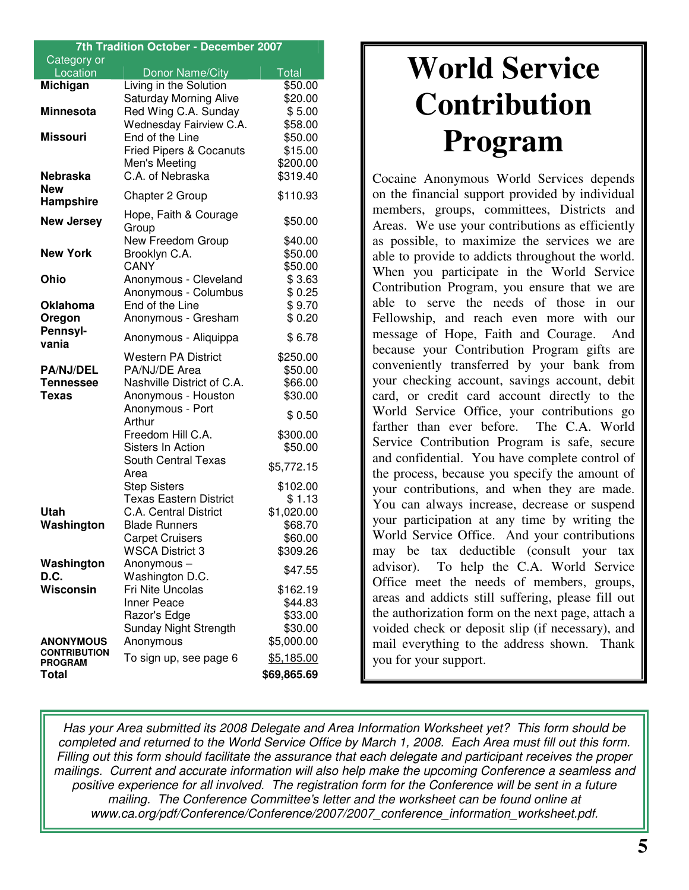| 7th Tradition October - December 2007 |                                    |              |
|---------------------------------------|------------------------------------|--------------|
| Category or                           |                                    |              |
| Location                              | Donor Name/City                    | <b>Total</b> |
| Michigan                              | Living in the Solution             | \$50.00      |
|                                       | <b>Saturday Morning Alive</b>      | \$20.00      |
| <b>Minnesota</b>                      | Red Wing C.A. Sunday               | \$5.00       |
|                                       | Wednesday Fairview C.A.            | \$58.00      |
| <b>Missouri</b>                       | End of the Line                    | \$50.00      |
|                                       | <b>Fried Pipers &amp; Cocanuts</b> | \$15.00      |
|                                       | Men's Meeting                      | \$200.00     |
| <b>Nebraska</b>                       | C.A. of Nebraska                   | \$319.40     |
| <b>New</b>                            | Chapter 2 Group                    | \$110.93     |
| Hampshire                             |                                    |              |
| <b>New Jersey</b>                     | Hope, Faith & Courage              | \$50.00      |
|                                       | Group                              |              |
|                                       | New Freedom Group                  | \$40.00      |
| <b>New York</b>                       | Brooklyn C.A.                      | \$50.00      |
|                                       | CANY                               | \$50.00      |
| Ohio                                  | Anonymous - Cleveland              | \$3.63       |
|                                       | Anonymous - Columbus               | \$0.25       |
| <b>Oklahoma</b>                       | End of the Line                    | \$9.70       |
| Oregon                                | Anonymous - Gresham                | \$0.20       |
| Pennsyl-<br>vania                     | Anonymous - Aliquippa              | \$6.78       |
|                                       | Western PA District                | \$250.00     |
| <b>PA/NJ/DEL</b>                      | PA/NJ/DE Area                      | \$50.00      |
| Tennessee                             | Nashville District of C.A.         | \$66.00      |
| <b>Texas</b>                          | Anonymous - Houston                | \$30.00      |
|                                       | Anonymous - Port                   |              |
|                                       | Arthur                             | \$0.50       |
|                                       | Freedom Hill C.A.                  | \$300.00     |
|                                       | Sisters In Action                  | \$50.00      |
|                                       | <b>South Central Texas</b>         |              |
|                                       | Area                               | \$5,772.15   |
|                                       | <b>Step Sisters</b>                | \$102.00     |
|                                       | <b>Texas Eastern District</b>      | \$1.13       |
| Utah                                  | <b>C.A. Central District</b>       | \$1,020.00   |
| Washington                            | <b>Blade Runners</b>               | \$68.70      |
|                                       | <b>Carpet Cruisers</b>             | \$60.00      |
|                                       | <b>WSCA District 3</b>             | \$309.26     |
| Washington                            | Anonymous-                         | \$47.55      |
| D.C.                                  | Washington D.C.                    |              |
| <b>Wisconsin</b>                      | Fri Nite Uncolas                   | \$162.19     |
|                                       | <b>Inner Peace</b>                 | \$44.83      |
|                                       | Razor's Edge                       | \$33.00      |
|                                       | Sunday Night Strength              | \$30.00      |
| <b>ANONYMOUS</b>                      | Anonymous                          | \$5,000.00   |
| <b>CONTRIBUTION</b>                   | To sign up, see page 6             | \$5,185.00   |
| <b>PROGRAM</b>                        |                                    |              |
| Total                                 |                                    | \$69,865.69  |

## **World Service Contribution Program**

Cocaine Anonymous World Services depends on the financial support provided by individual members, groups, committees, Districts and Areas. We use your contributions as efficiently as possible, to maximize the services we are able to provide to addicts throughout the world. When you participate in the World Service Contribution Program, you ensure that we are able to serve the needs of those in our Fellowship, and reach even more with our message of Hope, Faith and Courage. And because your Contribution Program gifts are conveniently transferred by your bank from your checking account, savings account, debit card, or credit card account directly to the World Service Office, your contributions go farther than ever before. The C.A. World Service Contribution Program is safe, secure and confidential. You have complete control of the process, because you specify the amount of your contributions, and when they are made. You can always increase, decrease or suspend your participation at any time by writing the World Service Office. And your contributions may be tax deductible (consult your tax advisor). To help the C.A. World Service Office meet the needs of members, groups, areas and addicts still suffering, please fill out the authorization form on the next page, attach a voided check or deposit slip (if necessary), and mail everything to the address shown. Thank you for your support.

*Has your Area submitted its 2008 Delegate and Area Information Worksheet yet? This form should be* completed and returned to the World Service Office by March 1, 2008. Each Area must fill out this form. *Filling out this form should facilitate the assurance that each delegate and participant receives the proper mailings. Current and accurate information will also help make the upcoming Conference a seamless and positive experience for all involved. The registration form for the Conference will be sent in a future mailing. The Conference Committee's letter and the worksheet can be found online at www.ca.org/pdf/Conference/Conference/2007/2007\_conference\_information\_worksheet.pdf.*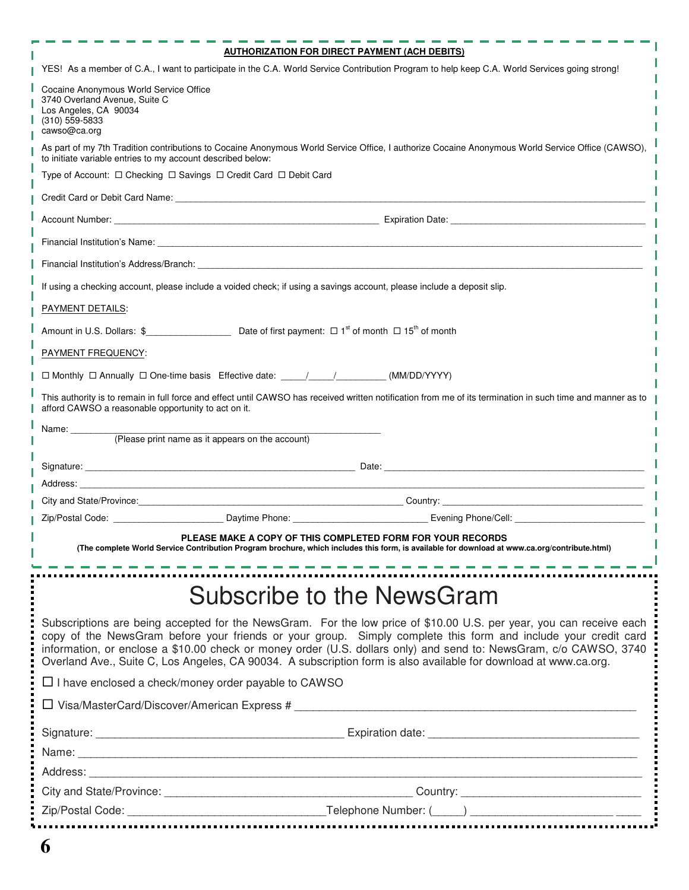| <b>AUTHORIZATION FOR DIRECT PAYMENT (ACH DEBITS)</b>                                                                                                                                                                                                                                                                                                                                                                                                                           |
|--------------------------------------------------------------------------------------------------------------------------------------------------------------------------------------------------------------------------------------------------------------------------------------------------------------------------------------------------------------------------------------------------------------------------------------------------------------------------------|
| YES! As a member of C.A., I want to participate in the C.A. World Service Contribution Program to help keep C.A. World Services going strong!                                                                                                                                                                                                                                                                                                                                  |
| Cocaine Anonymous World Service Office<br>3740 Overland Avenue, Suite C<br>Los Angeles, CA 90034<br>(310) 559-5833<br>cawso@ca.org                                                                                                                                                                                                                                                                                                                                             |
| As part of my 7th Tradition contributions to Cocaine Anonymous World Service Office, I authorize Cocaine Anonymous World Service Office (CAWSO),<br>to initiate variable entries to my account described below:                                                                                                                                                                                                                                                                |
| Type of Account: □ Checking □ Savings □ Credit Card □ Debit Card                                                                                                                                                                                                                                                                                                                                                                                                               |
|                                                                                                                                                                                                                                                                                                                                                                                                                                                                                |
|                                                                                                                                                                                                                                                                                                                                                                                                                                                                                |
|                                                                                                                                                                                                                                                                                                                                                                                                                                                                                |
|                                                                                                                                                                                                                                                                                                                                                                                                                                                                                |
| If using a checking account, please include a voided check; if using a savings account, please include a deposit slip.                                                                                                                                                                                                                                                                                                                                                         |
| PAYMENT DETAILS:                                                                                                                                                                                                                                                                                                                                                                                                                                                               |
|                                                                                                                                                                                                                                                                                                                                                                                                                                                                                |
| PAYMENT FREQUENCY:                                                                                                                                                                                                                                                                                                                                                                                                                                                             |
| □ Monthly □ Annually □ One-time basis Effective date: ______________________(MM/DD/YYYY)                                                                                                                                                                                                                                                                                                                                                                                       |
| This authority is to remain in full force and effect until CAWSO has received written notification from me of its termination in such time and manner as to<br>afford CAWSO a reasonable opportunity to act on it.                                                                                                                                                                                                                                                             |
| Name: ________<br>(Please print name as it appears on the account)                                                                                                                                                                                                                                                                                                                                                                                                             |
|                                                                                                                                                                                                                                                                                                                                                                                                                                                                                |
|                                                                                                                                                                                                                                                                                                                                                                                                                                                                                |
|                                                                                                                                                                                                                                                                                                                                                                                                                                                                                |
|                                                                                                                                                                                                                                                                                                                                                                                                                                                                                |
| PLEASE MAKE A COPY OF THIS COMPLETED FORM FOR YOUR RECORDS                                                                                                                                                                                                                                                                                                                                                                                                                     |
| (The complete World Service Contribution Program brochure, which includes this form, is available for download at www.ca.org/contribute.html)                                                                                                                                                                                                                                                                                                                                  |
|                                                                                                                                                                                                                                                                                                                                                                                                                                                                                |
| Subscribe to the NewsGram                                                                                                                                                                                                                                                                                                                                                                                                                                                      |
| Subscriptions are being accepted for the NewsGram. For the low price of \$10.00 U.S. per year, you can receive each<br>copy of the NewsGram before your friends or your group. Simply complete this form and include your credit card<br>information, or enclose a \$10.00 check or money order (U.S. dollars only) and send to: NewsGram, c/o CAWSO, 3740<br>Overland Ave., Suite C, Los Angeles, CA 90034. A subscription form is also available for download at www.ca.org. |
| $\Box$ I have enclosed a check/money order payable to CAWSO                                                                                                                                                                                                                                                                                                                                                                                                                    |
| □ Visa/MasterCard/Discover/American Express #                                                                                                                                                                                                                                                                                                                                                                                                                                  |
|                                                                                                                                                                                                                                                                                                                                                                                                                                                                                |
|                                                                                                                                                                                                                                                                                                                                                                                                                                                                                |
|                                                                                                                                                                                                                                                                                                                                                                                                                                                                                |
|                                                                                                                                                                                                                                                                                                                                                                                                                                                                                |
|                                                                                                                                                                                                                                                                                                                                                                                                                                                                                |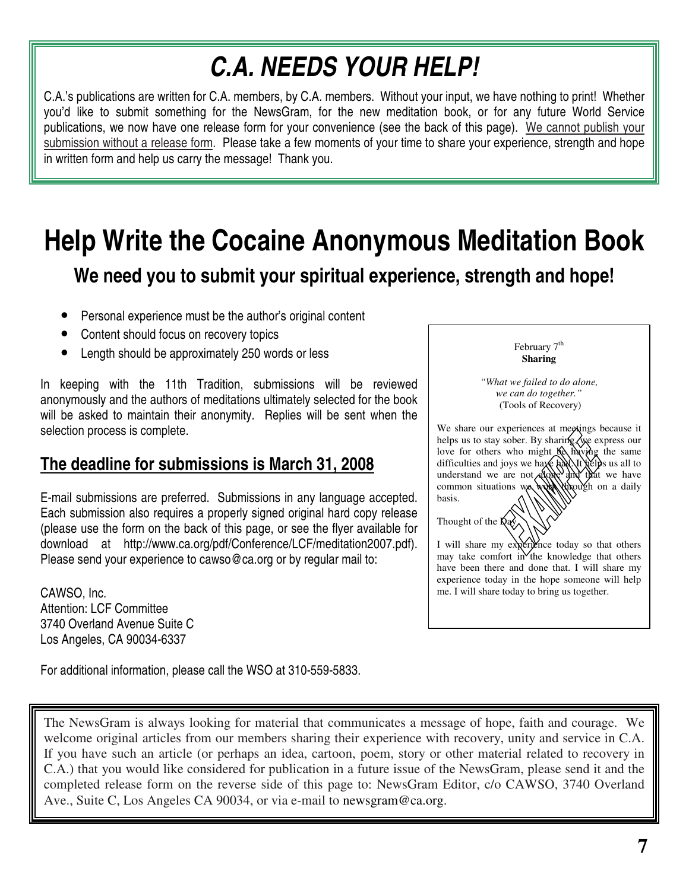## *C.A. NEEDS YOUR HELP!*

C.A.'s publications are written for C.A. members, by C.A. members. Without your input, we have nothing to print! Whether you'd like to submit something for the NewsGram, for the new meditation book, or for any future World Service publications, we now have one release form for your convenience (see the back of this page). We cannot publish your submission without a release form. Please take a few moments of your time to share your experience, strength and hope in written form and help us carry the message! Thank you.

### **Help Write the Cocaine Anonymous Meditation Book We need you to submit your spiritual experience, strength and hope!**

- Personal experience must be the author's original content
- Content should focus on recovery topics
- Length should be approximately 250 words or less

In keeping with the 11th Tradition, submissions will be reviewed anonymously and the authors of meditations ultimately selected for the book will be asked to maintain their anonymity. Replies will be sent when the selection process is complete.

#### **The deadline for submissions is March 31, 2008**

E-mail submissions are preferred. Submissions in any language accepted. Each submission also requires a properly signed original hard copy release (please use the form on the back of this page, or see the flyer available for download at http://www.ca.org/pdf/Conference/LCF/meditation2007.pdf). Please send your experience to cawso@ca.org or by regular mail to:

CAWSO, Inc. Attention: LCF Committee 3740 Overland Avenue Suite C Los Angeles, CA 90034-6337

For additional information, please call the WSO at 310-559-5833.

February 7<sup>th</sup> **Sharing**

*"What we failed to do alone, we can do together."* (Tools of Recovery)

We share our experiences at meetings because it helps us to stay sober. By sharing, we express our love for others who might  $\beta$  having the same difficulties and joys we haxe had. It helps us all to understand we are not alone and that we have common situations we work through on a daily basis.

Thought of the  $\dot{D}$ ay

I will share my experience today so that others may take comfort in the knowledge that others have been there and done that. I will share my experience today in the hope someone will help me. I will share today to bring us together.

The NewsGram is always looking for material that communicates a message of hope, faith and courage. We welcome original articles from our members sharing their experience with recovery, unity and service in C.A. If you have such an article (or perhaps an idea, cartoon, poem, story or other material related to recovery in C.A.) that you would like considered for publication in a future issue of the NewsGram, please send it and the completed release form on the reverse side of this page to: NewsGram Editor, c/o CAWSO, 3740 Overland Ave., Suite C, Los Angeles CA 90034, or via e-mail to newsgram@ca.org.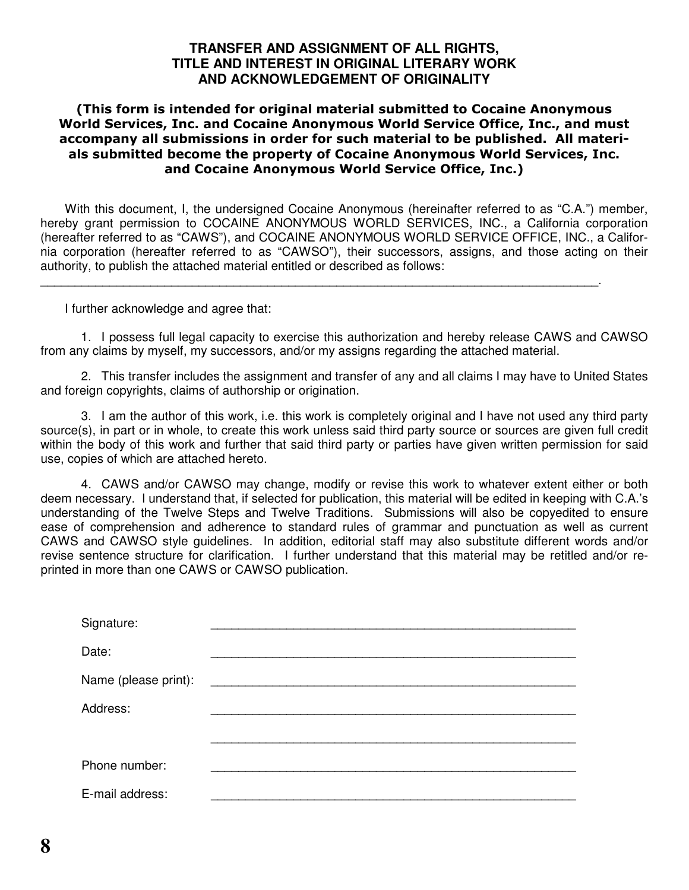#### **TRANSFER AND ASSIGNMENT OF ALL RIGHTS, TITLE AND INTEREST IN ORIGINAL LITERARY WORK AND ACKNOWLEDGEMENT OF ORIGINALITY**

#### (This form is intended for original material submitted to Cocaine Anonymous World Services, Inc. and Cocaine Anonymous World Service Office, Inc., and must accompany all submissions in order for such material to be published. All materials submitted become the property of Cocaine Anonymous World Services, Inc. and Cocaine Anonymous World Service Office, Inc.)

With this document, I, the undersigned Cocaine Anonymous (hereinafter referred to as "C.A.") member, hereby grant permission to COCAINE ANONYMOUS WORLD SERVICES, INC., a California corporation (hereafter referred to as "CAWS"), and COCAINE ANONYMOUS WORLD SERVICE OFFICE, INC., a California corporation (hereafter referred to as "CAWSO"), their successors, assigns, and those acting on their authority, to publish the attached material entitled or described as follows:

\_\_\_\_\_\_\_\_\_\_\_\_\_\_\_\_\_\_\_\_\_\_\_\_\_\_\_\_\_\_\_\_\_\_\_\_\_\_\_\_\_\_\_\_\_\_\_\_\_\_\_\_\_\_\_\_\_\_\_\_\_\_\_\_\_\_\_\_\_\_\_\_\_\_\_\_\_\_\_\_\_.

I further acknowledge and agree that:

1. I possess full legal capacity to exercise this authorization and hereby release CAWS and CAWSO from any claims by myself, my successors, and/or my assigns regarding the attached material.

2. This transfer includes the assignment and transfer of any and all claims I may have to United States and foreign copyrights, claims of authorship or origination.

3. I am the author of this work, i.e. this work is completely original and I have not used any third party source(s), in part or in whole, to create this work unless said third party source or sources are given full credit within the body of this work and further that said third party or parties have given written permission for said use, copies of which are attached hereto.

4. CAWS and/or CAWSO may change, modify or revise this work to whatever extent either or both deem necessary. I understand that, if selected for publication, this material will be edited in keeping with C.A.'s understanding of the Twelve Steps and Twelve Traditions. Submissions will also be copyedited to ensure ease of comprehension and adherence to standard rules of grammar and punctuation as well as current CAWS and CAWSO style guidelines. In addition, editorial staff may also substitute different words and/or revise sentence structure for clarification. I further understand that this material may be retitled and/or reprinted in more than one CAWS or CAWSO publication.

| Signature:           |  |
|----------------------|--|
| Date:                |  |
| Name (please print): |  |
| Address:             |  |
|                      |  |
| Phone number:        |  |
| E-mail address:      |  |
|                      |  |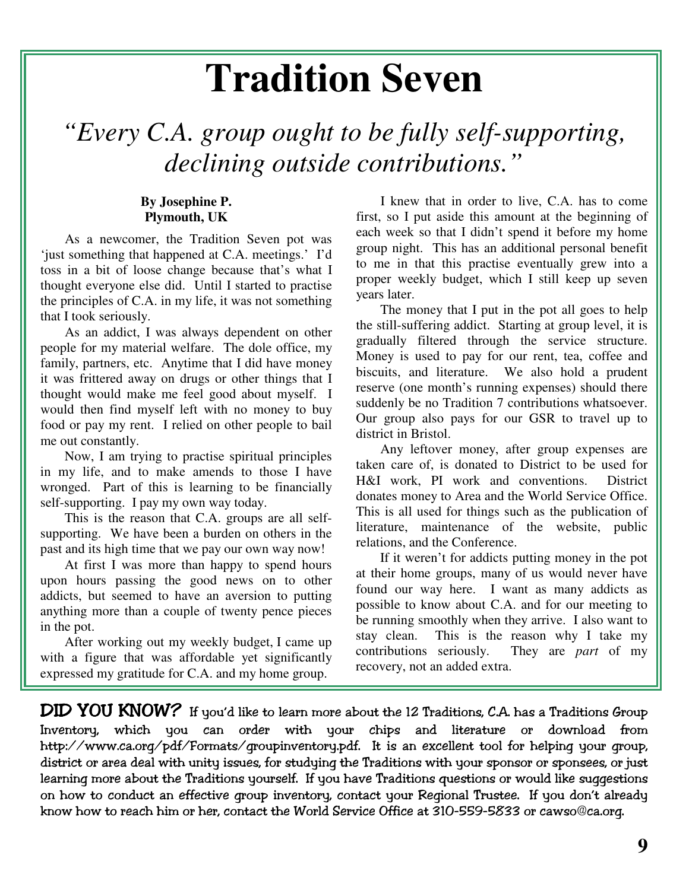## **Tradition Seven**

*"Every C.A. group ought to be fully self-supporting, declining outside contributions."*

#### **By Josephine P. Plymouth, UK**

As a newcomer, the Tradition Seven pot was 'just something that happened at C.A. meetings.' I'd toss in a bit of loose change because that's what I thought everyone else did. Until I started to practise the principles of C.A. in my life, it was not something that I took seriously.

As an addict, I was always dependent on other people for my material welfare. The dole office, my family, partners, etc. Anytime that I did have money it was frittered away on drugs or other things that I thought would make me feel good about myself. I would then find myself left with no money to buy food or pay my rent. I relied on other people to bail me out constantly.

Now, I am trying to practise spiritual principles in my life, and to make amends to those I have wronged. Part of this is learning to be financially self-supporting. I pay my own way today.

This is the reason that C.A. groups are all selfsupporting. We have been a burden on others in the past and its high time that we pay our own way now!

At first I was more than happy to spend hours upon hours passing the good news on to other addicts, but seemed to have an aversion to putting anything more than a couple of twenty pence pieces in the pot.

After working out my weekly budget, I came up with a figure that was affordable yet significantly expressed my gratitude for C.A. and my home group.

I knew that in order to live, C.A. has to come first, so I put aside this amount at the beginning of each week so that I didn't spend it before my home group night. This has an additional personal benefit to me in that this practise eventually grew into a proper weekly budget, which I still keep up seven years later.

The money that I put in the pot all goes to help the still-suffering addict. Starting at group level, it is gradually filtered through the service structure. Money is used to pay for our rent, tea, coffee and biscuits, and literature. We also hold a prudent reserve (one month's running expenses) should there suddenly be no Tradition 7 contributions whatsoever. Our group also pays for our GSR to travel up to district in Bristol.

Any leftover money, after group expenses are taken care of, is donated to District to be used for H&I work, PI work and conventions. District donates money to Area and the World Service Office. This is all used for things such as the publication of literature, maintenance of the website, public relations, and the Conference.

If it weren't for addicts putting money in the pot at their home groups, many of us would never have found our way here. I want as many addicts as possible to know about C.A. and for our meeting to be running smoothly when they arrive. I also want to stay clean. This is the reason why I take my contributions seriously. They are *part* of my recovery, not an added extra.

 $\bm{\mathsf{DID}}$   $\bm{\mathsf{YOU}}$   $\bm{\mathsf{KNOW?}}\;$  If you'd like to learn more about the 12 Traditions, C.A. has a Traditions Group Inventory, which you can order with your chips and literature or download from http://www.ca.org/pdf/Formats/groupinventory.pdf. It is an excellent tool for helping your group, district or area deal with unity issues, for studying the Traditions with your sponsor or sponsees, or just learning more about the Traditions yourself. If you have Traditions questions or would like suggestions  $\,$ on how to conduct an effective group inventory, contact your Regional Trustee. If you don't already know how to reach him or her, contact the World Service Office at 310-559-5833 or cawso@ca.org.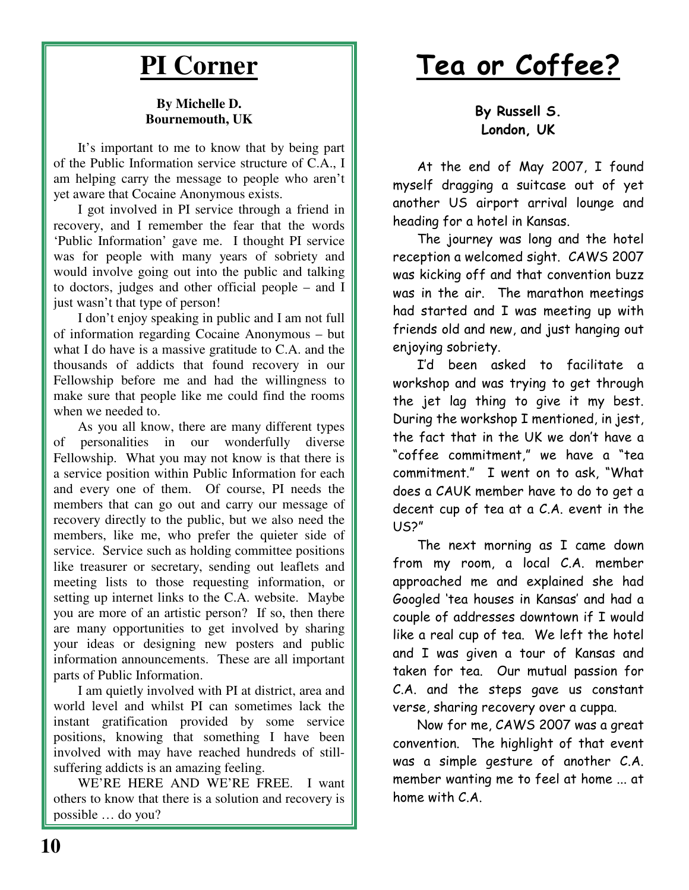### **PI Corner**

#### **By Michelle D. Bournemouth, UK**

It's important to me to know that by being part of the Public Information service structure of C.A., I am helping carry the message to people who aren't yet aware that Cocaine Anonymous exists.

I got involved in PI service through a friend in recovery, and I remember the fear that the words 'Public Information' gave me. I thought PI service was for people with many years of sobriety and would involve going out into the public and talking to doctors, judges and other official people – and I just wasn't that type of person!

I don't enjoy speaking in public and I am not full of information regarding Cocaine Anonymous – but what I do have is a massive gratitude to C.A. and the thousands of addicts that found recovery in our Fellowship before me and had the willingness to make sure that people like me could find the rooms when we needed to.

As you all know, there are many different types of personalities in our wonderfully diverse Fellowship. What you may not know is that there is a service position within Public Information for each and every one of them. Of course, PI needs the members that can go out and carry our message of recovery directly to the public, but we also need the members, like me, who prefer the quieter side of service. Service such as holding committee positions like treasurer or secretary, sending out leaflets and meeting lists to those requesting information, or setting up internet links to the C.A. website. Maybe you are more of an artistic person? If so, then there are many opportunities to get involved by sharing your ideas or designing new posters and public information announcements. These are all important parts of Public Information.

I am quietly involved with PI at district, area and world level and whilst PI can sometimes lack the instant gratification provided by some service positions, knowing that something I have been involved with may have reached hundreds of stillsuffering addicts is an amazing feeling.

WE'RE HERE AND WE'RE FREE. I want others to know that there is a solution and recovery is possible … do you?

## <u>Tea or Coffee?</u>

By Russell S. London, UK

At the end of May 2007, I found myself dragging a suitcase out of yet another US airport arrival lounge and heading for a hotel in Kansas.

The journey was long and the hotel reception a welcomed sight. CAWS 2007 was kicking off and that convention buzz was in the air. The marathon meetings had started and I was meeting up with friends old and new, and just hanging out enjoying sobriety.

I'd been asked to facilitate a workshop and was trying to get through the jet lag thing to give it my best. During the workshop I mentioned, in jest, the fact that in the UK we don't have a "coffee commitment," we have a "tea commitment." I went on to ask, "What does a CAUK member have to do to get a decent cup of tea at a C.A. event in the  $US<sup>2</sup>$ 

The next morning as  $I$  came down from my room, a local C.A. member approached me and explained she had Googled 'tea houses in Kansas' and had a couple of addresses downtown if I would like a real cup of tea. We left the hotel and I was given a tour of Kansas and taken for tea. Our mutual passion for C.A. and the steps gave us constant verse, sharing recovery over a cuppa.

Now for me, CAWS 2007 was a great convention. The highlight of that event was a simple gesture of another C.A. member wanting me to feel at home ... at home with  $C.A$ .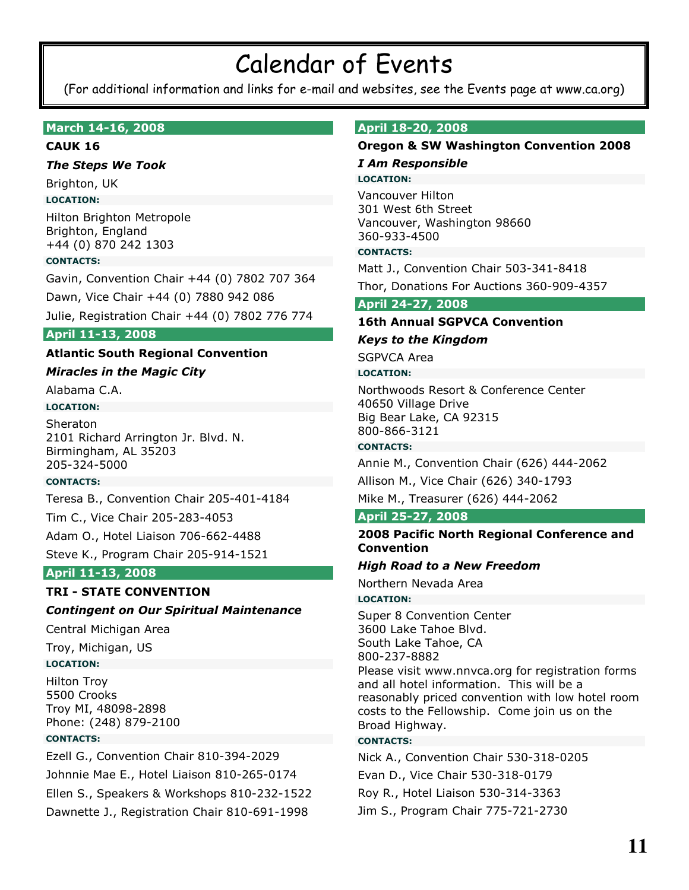## **Calendar of Events**

(For additional information and links for e-mail and websites, see the Events page at www.ca.org)

#### March 14-16, 2008

#### **CAUK 16**

#### **The Steps We Took**

Brighton, UK

#### **LOCATION:**

Hilton Brighton Metropole Brighton, England +44 (0) 870 242 1303

#### **CONTACTS:**

Gavin, Convention Chair +44 (0) 7802 707 364

Dawn, Vice Chair +44 (0) 7880 942 086

Julie, Registration Chair +44 (0) 7802 776 774

#### April 11-13, 2008

#### **Atlantic South Regional Convention**

#### **Miracles in the Magic City**

Alabama C.A.

#### **LOCATION:**

Sheraton 2101 Richard Arrington Jr. Blvd. N. Birmingham, AL 35203 205-324-5000

#### **CONTACTS:**

Teresa B., Convention Chair 205-401-4184

Tim C., Vice Chair 205-283-4053

Adam O., Hotel Liaison 706-662-4488

Steve K., Program Chair 205-914-1521

#### April 11-13, 2008

#### **TRI - STATE CONVENTION**

#### **Contingent on Our Spiritual Maintenance**

Central Michigan Area

Troy, Michigan, US

#### **LOCATION:**

**Hilton Troy** 5500 Crooks Troy MI, 48098-2898 Phone: (248) 879-2100

#### **CONTACTS:**

Ezell G., Convention Chair 810-394-2029 Johnnie Mae E., Hotel Liaison 810-265-0174 Ellen S., Speakers & Workshops 810-232-1522 Dawnette J., Registration Chair 810-691-1998

#### April 18-20, 2008

#### **Oregon & SW Washington Convention 2008**

#### **I Am Responsible LOCATION:**

**Vancouver Hilton** 301 West 6th Street Vancouver, Washington 98660 360-933-4500

#### **CONTACTS:**

Matt J., Convention Chair 503-341-8418

Thor, Donations For Auctions 360-909-4357

#### April 24-27, 2008

#### **16th Annual SGPVCA Convention**

#### **Keys to the Kingdom**

**SGPVCA Area** 

#### **LOCATION:**

Northwoods Resort & Conference Center 40650 Village Drive Big Bear Lake, CA 92315 800-866-3121

#### **CONTACTS:**

Annie M., Convention Chair (626) 444-2062

Allison M., Vice Chair (626) 340-1793

Mike M., Treasurer (626) 444-2062

#### **April 25-27, 2008**

#### 2008 Pacific North Regional Conference and **Convention**

#### **High Road to a New Freedom**

Northern Nevada Area

#### **LOCATION:**

Super 8 Convention Center 3600 Lake Tahoe Blvd. South Lake Tahoe, CA 800-237-8882 Please visit www.nnvca.org for registration forms and all hotel information. This will be a reasonably priced convention with low hotel room costs to the Fellowship. Come join us on the Broad Highway.

#### **CONTACTS:**

Nick A., Convention Chair 530-318-0205 Evan D., Vice Chair 530-318-0179 Roy R., Hotel Liaison 530-314-3363 Jim S., Program Chair 775-721-2730